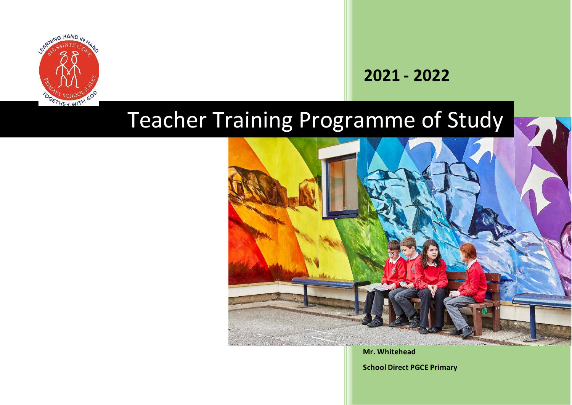

## **2021 - 2022**

## Teacher Training Programme of Study



**Mr. Whitehead**

**School Direct PGCE Primary**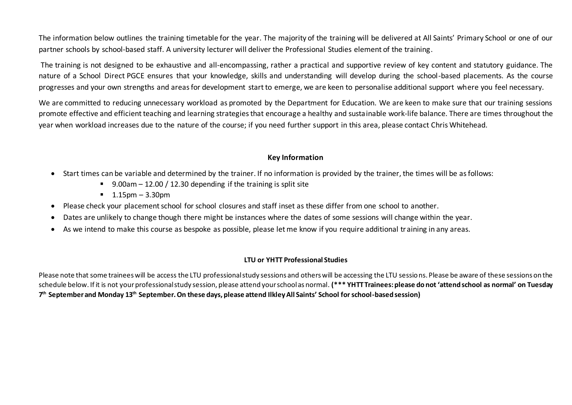The information below outlines the training timetable for the year. The majority of the training will be delivered at All Saints' Primary School or one of our partner schools by school-based staff. A university lecturer will deliver the Professional Studies element of the training.

The training is not designed to be exhaustive and all-encompassing, rather a practical and supportive review of key content and statutory guidance. The nature of a School Direct PGCE ensures that your knowledge, skills and understanding will develop during the school-based placements. As the course progresses and your own strengths and areas for development start to emerge, we are keen to personalise additional support where you feel necessary.

We are committed to reducing unnecessary workload as promoted by the Department for Education. We are keen to make sure that our training sessions promote effective and efficient teaching and learning strategies that encourage a healthy and sustainable work-life balance. There are times throughout the year when workload increases due to the nature of the course; if you need further support in this area, please contact Chris Whitehead.

#### **Key Information**

- Start times can be variable and determined by the trainer. If no information is provided by the trainer, the times will be as follows:
	- 9.00am 12.00 / 12.30 depending if the training is split site
	- $\blacksquare$  1.15pm 3.30pm
- Please check your placement school for school closures and staff inset as these differ from one school to another.
- Dates are unlikely to change though there might be instances where the dates of some sessions will change within the year.
- As we intend to make this course as bespoke as possible, please let me know if you require additional training in any areas.

#### **LTU or YHTT Professional Studies**

Please note that some trainees will be access the LTU professional study sessions and others will be accessing the LTU sessions. Please be aware of these sessions on the schedule below. If it is not your professional study session, please attend your school as normal. **(\*\*\* YHTT Trainees: please do not 'attend school as normal' on Tuesday 7 th September and Monday 13th September. On these days, please attend Ilkley All Saints' School for school-based session)**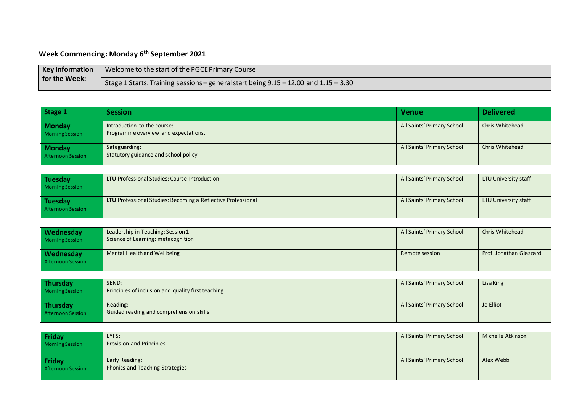#### **Week Commencing: Monday 6th September 2021**

| <b>Key Information</b> | V Welcome to the start of the PGCE Primary Course                                    |
|------------------------|--------------------------------------------------------------------------------------|
| for the Week:          | Stage 1 Starts. Training sessions – general start being 9.15 – 12.00 and 1.15 – 3.30 |

| Stage 1                                     | <b>Session</b>                                                          | <b>Venue</b>               | <b>Delivered</b>        |
|---------------------------------------------|-------------------------------------------------------------------------|----------------------------|-------------------------|
| <b>Monday</b><br><b>Morning Session</b>     | Introduction to the course:<br>Programme overview and expectations.     | All Saints' Primary School | Chris Whitehead         |
| <b>Monday</b><br><b>Afternoon Session</b>   | Safeguarding:<br>Statutory guidance and school policy                   | All Saints' Primary School | Chris Whitehead         |
|                                             |                                                                         |                            |                         |
| <b>Tuesday</b><br><b>Morning Session</b>    | <b>LTU</b> Professional Studies: Course Introduction                    | All Saints' Primary School | LTU University staff    |
| <b>Tuesday</b><br><b>Afternoon Session</b>  | LTU Professional Studies: Becoming a Reflective Professional            | All Saints' Primary School | LTU University staff    |
|                                             |                                                                         |                            |                         |
| Wednesday<br><b>Morning Session</b>         | Leadership in Teaching: Session 1<br>Science of Learning: metacognition | All Saints' Primary School | Chris Whitehead         |
| Wednesday<br><b>Afternoon Session</b>       | Mental Health and Wellbeing                                             | Remote session             | Prof. Jonathan Glazzard |
|                                             |                                                                         |                            |                         |
| <b>Thursday</b><br><b>Morning Session</b>   | SEND:<br>Principles of inclusion and quality first teaching             | All Saints' Primary School | Lisa King               |
| <b>Thursday</b><br><b>Afternoon Session</b> | Reading:<br>Guided reading and comprehension skills                     | All Saints' Primary School | Jo Elliot               |
|                                             |                                                                         |                            |                         |
| Friday<br><b>Morning Session</b>            | EYFS:<br>Provision and Principles                                       | All Saints' Primary School | Michelle Atkinson       |
| <b>Friday</b><br><b>Afternoon Session</b>   | Early Reading:<br>Phonics and Teaching Strategies                       | All Saints' Primary School | Alex Webb               |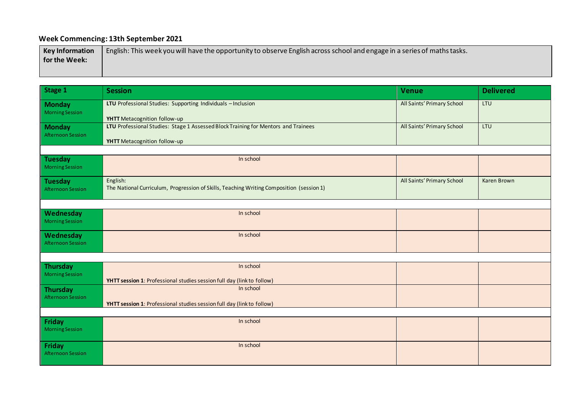## **Week Commencing: 13th September 2021**

| <b>Key Information</b> | English: This week you will have the opportunity to observe English across school and engage in a series of maths tasks. |
|------------------------|--------------------------------------------------------------------------------------------------------------------------|
| for the Week:          |                                                                                                                          |
|                        |                                                                                                                          |

| Stage 1                                    | <b>Session</b>                                                                                                     | <b>Venue</b>               | <b>Delivered</b> |
|--------------------------------------------|--------------------------------------------------------------------------------------------------------------------|----------------------------|------------------|
| <b>Monday</b><br><b>Morning Session</b>    | LTU Professional Studies: Supporting Individuals - Inclusion<br>YHTT Metacognition follow-up                       | All Saints' Primary School | LTU              |
| <b>Monday</b><br><b>Afternoon Session</b>  | LTU Professional Studies: Stage 1 Assessed Block Training for Mentors and Trainees<br>YHTT Metacognition follow-up | All Saints' Primary School | LTU              |
|                                            |                                                                                                                    |                            |                  |
| <b>Tuesday</b><br><b>Morning Session</b>   | In school                                                                                                          |                            |                  |
| <b>Tuesday</b><br><b>Afternoon Session</b> | English:<br>The National Curriculum, Progression of Skills, Teaching Writing Composition (session 1)               | All Saints' Primary School | Karen Brown      |
|                                            |                                                                                                                    |                            |                  |
| Wednesday<br><b>Morning Session</b>        | In school                                                                                                          |                            |                  |
| Wednesday<br><b>Afternoon Session</b>      | In school                                                                                                          |                            |                  |
|                                            |                                                                                                                    |                            |                  |
| <b>Thursday</b>                            | In school                                                                                                          |                            |                  |
| <b>Morning Session</b>                     | YHTT session 1: Professional studies session full day (link to follow)                                             |                            |                  |
| <b>Thursday</b>                            | In school                                                                                                          |                            |                  |
| <b>Afternoon Session</b>                   | YHTT session 1: Professional studies session full day (link to follow)                                             |                            |                  |
|                                            |                                                                                                                    |                            |                  |
| <b>Friday</b><br><b>Morning Session</b>    | In school                                                                                                          |                            |                  |
| Friday<br><b>Afternoon Session</b>         | In school                                                                                                          |                            |                  |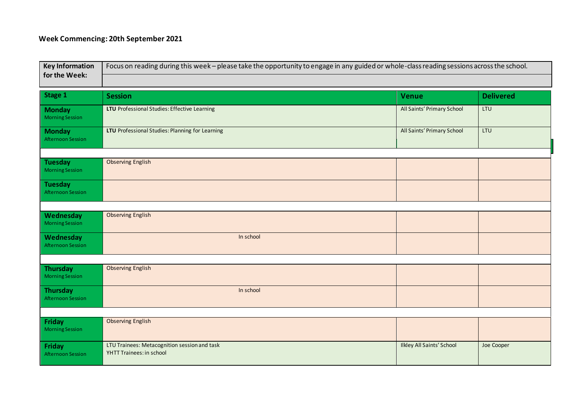## **Week Commencing: 20th September 2021**

| Focus on reading during this week - please take the opportunity to engage in any guided or whole-class reading sessions across the school.<br><b>Key Information</b><br>for the Week: |                                                                          |                                  |                  |
|---------------------------------------------------------------------------------------------------------------------------------------------------------------------------------------|--------------------------------------------------------------------------|----------------------------------|------------------|
|                                                                                                                                                                                       |                                                                          |                                  |                  |
| Stage 1                                                                                                                                                                               | <b>Session</b>                                                           | <b>Venue</b>                     | <b>Delivered</b> |
| <b>Monday</b><br><b>Morning Session</b>                                                                                                                                               | LTU Professional Studies: Effective Learning                             | All Saints' Primary School       | LTU              |
| <b>Monday</b><br><b>Afternoon Session</b>                                                                                                                                             | LTU Professional Studies: Planning for Learning                          | All Saints' Primary School       | <b>LTU</b>       |
|                                                                                                                                                                                       |                                                                          |                                  |                  |
| <b>Tuesday</b><br><b>Morning Session</b>                                                                                                                                              | <b>Observing English</b>                                                 |                                  |                  |
| <b>Tuesday</b><br><b>Afternoon Session</b>                                                                                                                                            |                                                                          |                                  |                  |
|                                                                                                                                                                                       |                                                                          |                                  |                  |
| Wednesday<br><b>Morning Session</b>                                                                                                                                                   | <b>Observing English</b>                                                 |                                  |                  |
| Wednesday<br><b>Afternoon Session</b>                                                                                                                                                 | In school                                                                |                                  |                  |
|                                                                                                                                                                                       |                                                                          |                                  |                  |
| <b>Thursday</b><br><b>Morning Session</b>                                                                                                                                             | <b>Observing English</b>                                                 |                                  |                  |
| <b>Thursday</b><br><b>Afternoon Session</b>                                                                                                                                           | In school                                                                |                                  |                  |
|                                                                                                                                                                                       |                                                                          |                                  |                  |
| Friday<br><b>Morning Session</b>                                                                                                                                                      | <b>Observing English</b>                                                 |                                  |                  |
| <b>Friday</b><br><b>Afternoon Session</b>                                                                                                                                             | LTU Trainees: Metacognition session and task<br>YHTT Trainees: in school | <b>Ilkley All Saints' School</b> | Joe Cooper       |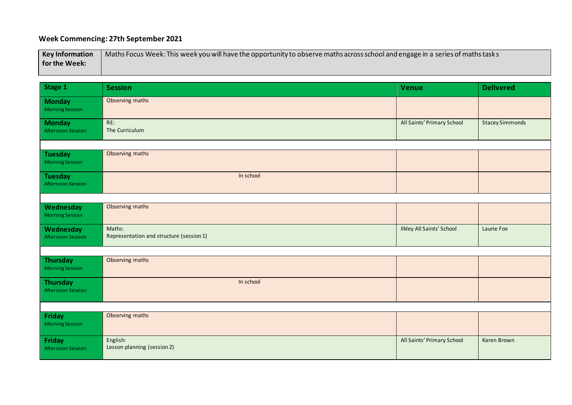## **Week Commencing: 27th September 2021**

| <b>Key Information</b> | ∕ Naths Focus Week: This week you will have the opportunity to observe maths across school and engage in a series of maths task s |
|------------------------|-----------------------------------------------------------------------------------------------------------------------------------|
| for the Week:          |                                                                                                                                   |

| Stage 1                                     | <b>Session</b>                                     | <b>Venue</b>                     | <b>Delivered</b>       |
|---------------------------------------------|----------------------------------------------------|----------------------------------|------------------------|
| <b>Monday</b><br><b>Morning Session</b>     | Observing maths                                    |                                  |                        |
| <b>Monday</b><br><b>Afternoon Session</b>   | RE:<br>The Curriculum                              | All Saints' Primary School       | <b>Stacey Simmonds</b> |
|                                             |                                                    |                                  |                        |
| <b>Tuesday</b><br><b>Morning Session</b>    | Observing maths                                    |                                  |                        |
| <b>Tuesday</b><br><b>Afternoon Session</b>  | In school                                          |                                  |                        |
|                                             |                                                    |                                  |                        |
| Wednesday<br><b>Morning Session</b>         | Observing maths                                    |                                  |                        |
| Wednesday<br><b>Afternoon Session</b>       | Maths:<br>Representation and structure (session 1) | <b>Ilkley All Saints' School</b> | Laurie Fox             |
|                                             |                                                    |                                  |                        |
| <b>Thursday</b><br><b>Morning Session</b>   | Observing maths                                    |                                  |                        |
| <b>Thursday</b><br><b>Afternoon Session</b> | In school                                          |                                  |                        |
|                                             |                                                    |                                  |                        |
| Friday<br><b>Morning Session</b>            | Observing maths                                    |                                  |                        |
| Friday<br><b>Afternoon Session</b>          | English:<br>Lesson planning (session 2)            | All Saints' Primary School       | Karen Brown            |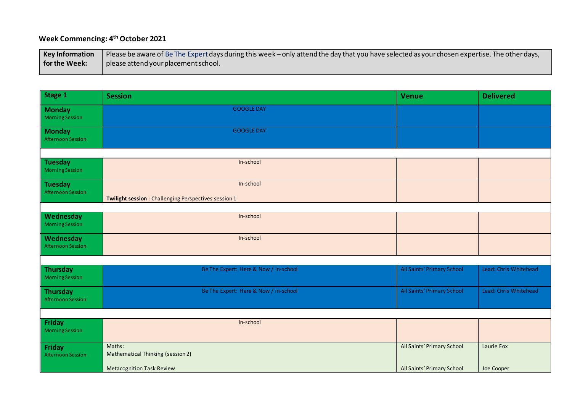#### **Week Commencing: 4 th October 2021**

| Key Information | Please be aware of Be The Expert days during this week – only attend the day that you have selected as your chosen expertise. The other days, |
|-----------------|-----------------------------------------------------------------------------------------------------------------------------------------------|
| for the Week:   | please attend your placement school.                                                                                                          |

| Stage 1                                     | <b>Session</b>                                                     | <b>Venue</b>               | <b>Delivered</b>      |
|---------------------------------------------|--------------------------------------------------------------------|----------------------------|-----------------------|
| <b>Monday</b><br><b>Morning Session</b>     | <b>GOOGLE DAY</b>                                                  |                            |                       |
| <b>Monday</b><br><b>Afternoon Session</b>   | <b>GOOGLE DAY</b>                                                  |                            |                       |
|                                             |                                                                    |                            |                       |
| <b>Tuesday</b><br><b>Morning Session</b>    | In-school                                                          |                            |                       |
| <b>Tuesday</b><br><b>Afternoon Session</b>  | In-school<br>Twilight session : Challenging Perspectives session 1 |                            |                       |
|                                             |                                                                    |                            |                       |
| Wednesday<br><b>Morning Session</b>         | In-school                                                          |                            |                       |
| Wednesday<br><b>Afternoon Session</b>       | In-school                                                          |                            |                       |
|                                             |                                                                    |                            |                       |
| <b>Thursday</b><br><b>Morning Session</b>   | Be The Expert: Here & Now / in-school                              | All Saints' Primary School | Lead: Chris Whitehead |
| <b>Thursday</b><br><b>Afternoon Session</b> | Be The Expert: Here & Now / in-school                              | All Saints' Primary School | Lead: Chris Whitehead |
|                                             |                                                                    |                            |                       |
| <b>Friday</b><br><b>Morning Session</b>     | In-school                                                          |                            |                       |
| <b>Friday</b><br><b>Afternoon Session</b>   | Maths:<br>Mathematical Thinking (session 2)                        | All Saints' Primary School | Laurie Fox            |
|                                             | <b>Metacognition Task Review</b>                                   | All Saints' Primary School | Joe Cooper            |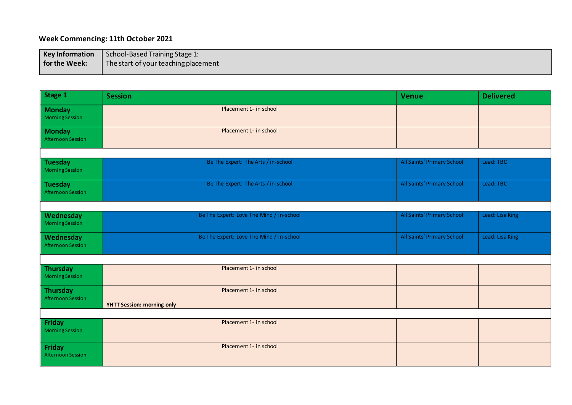#### **Week Commencing: 11th October 2021**

| <b>Key Information</b> | School-Based Training Stage 1:       |
|------------------------|--------------------------------------|
| for the Week:          | The start of your teaching placement |

| Stage 1                                     | <b>Session</b>                                              | <b>Venue</b>               | <b>Delivered</b> |
|---------------------------------------------|-------------------------------------------------------------|----------------------------|------------------|
| <b>Monday</b><br><b>Morning Session</b>     | Placement 1- in school                                      |                            |                  |
| <b>Monday</b><br><b>Afternoon Session</b>   | Placement 1- in school                                      |                            |                  |
|                                             |                                                             |                            |                  |
| <b>Tuesday</b><br><b>Morning Session</b>    | Be The Expert: The Arts / in-school                         | All Saints' Primary School | Lead: TBC        |
| <b>Tuesday</b><br><b>Afternoon Session</b>  | Be The Expert: The Arts / in-school                         | All Saints' Primary School | Lead: TBC        |
|                                             |                                                             |                            |                  |
| Wednesday<br><b>Morning Session</b>         | Be The Expert: Love The Mind / in-school                    | All Saints' Primary School | Lead: Lisa King  |
| Wednesday<br><b>Afternoon Session</b>       | Be The Expert: Love The Mind / in-school                    | All Saints' Primary School | Lead: Lisa King  |
|                                             |                                                             |                            |                  |
| Thursday<br><b>Morning Session</b>          | Placement 1- in school                                      |                            |                  |
| <b>Thursday</b><br><b>Afternoon Session</b> | Placement 1- in school<br><b>YHTT Session: morning only</b> |                            |                  |
|                                             |                                                             |                            |                  |
| Friday<br><b>Morning Session</b>            | Placement 1- in school                                      |                            |                  |
| <b>Friday</b><br><b>Afternoon Session</b>   | Placement 1- in school                                      |                            |                  |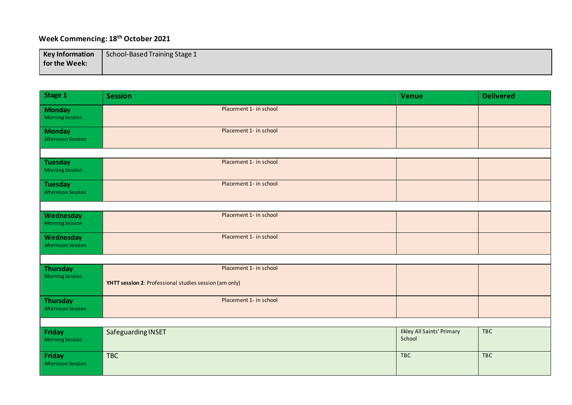## **Week Commencing: 18th October 2021**

| <b>Key Information</b> | School-Based Training Stage 1 |
|------------------------|-------------------------------|
| for the Week:          |                               |
|                        |                               |

| Stage 1                                     | <b>Session</b>                                                                   | <b>Venue</b>                                | <b>Delivered</b> |
|---------------------------------------------|----------------------------------------------------------------------------------|---------------------------------------------|------------------|
| <b>Monday</b><br><b>Morning Session</b>     | Placement 1- in school                                                           |                                             |                  |
| <b>Monday</b><br><b>Afternoon Session</b>   | Placement 1- in school                                                           |                                             |                  |
|                                             |                                                                                  |                                             |                  |
| <b>Tuesday</b><br><b>Morning Session</b>    | Placement 1- in school                                                           |                                             |                  |
| <b>Tuesday</b><br><b>Afternoon Session</b>  | Placement 1- in school                                                           |                                             |                  |
|                                             |                                                                                  |                                             |                  |
| Wednesday<br><b>Morning Session</b>         | Placement 1- in school                                                           |                                             |                  |
| Wednesday<br><b>Afternoon Session</b>       | Placement 1- in school                                                           |                                             |                  |
|                                             |                                                                                  |                                             |                  |
| <b>Thursday</b><br><b>Morning Session</b>   | Placement 1- in school<br>YHTT session 2: Professional studies session (am only) |                                             |                  |
| <b>Thursday</b><br><b>Afternoon Session</b> | Placement 1- in school                                                           |                                             |                  |
|                                             |                                                                                  |                                             |                  |
| Friday<br><b>Morning Session</b>            | Safeguarding INSET                                                               | <b>Ilkley All Saints' Primary</b><br>School | <b>TBC</b>       |
| Friday<br><b>Afternoon Session</b>          | <b>TBC</b>                                                                       | <b>TBC</b>                                  | <b>TBC</b>       |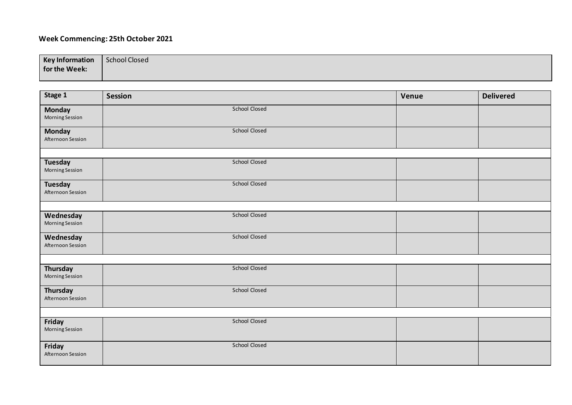#### **Week Commencing: 25th October 2021**

| <b>Key Information</b> | School Closed |
|------------------------|---------------|
| for the Week:          |               |
|                        |               |

| Stage 1                                  | <b>Session</b>       | Venue | <b>Delivered</b> |
|------------------------------------------|----------------------|-------|------------------|
| <b>Monday</b><br><b>Morning Session</b>  | School Closed        |       |                  |
| <b>Monday</b><br>Afternoon Session       | School Closed        |       |                  |
|                                          |                      |       |                  |
| <b>Tuesday</b><br><b>Morning Session</b> | <b>School Closed</b> |       |                  |
| <b>Tuesday</b><br>Afternoon Session      | School Closed        |       |                  |
|                                          |                      |       |                  |
| Wednesday<br><b>Morning Session</b>      | School Closed        |       |                  |
| Wednesday<br>Afternoon Session           | School Closed        |       |                  |
|                                          |                      |       |                  |
| Thursday<br>Morning Session              | <b>School Closed</b> |       |                  |
| Thursday<br>Afternoon Session            | School Closed        |       |                  |
|                                          |                      |       |                  |
| Friday<br><b>Morning Session</b>         | School Closed        |       |                  |
| Friday<br>Afternoon Session              | <b>School Closed</b> |       |                  |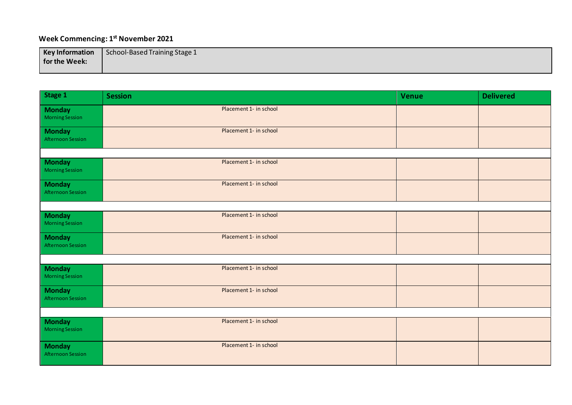#### **Week Commencing: 1 st November 2021**

| <b>Key Information</b> | School-Based Training Stage 1 |
|------------------------|-------------------------------|
| for the Week:          |                               |
|                        |                               |

| Stage 1                                   | <b>Session</b>         | <b>Venue</b> | <b>Delivered</b> |  |
|-------------------------------------------|------------------------|--------------|------------------|--|
| <b>Monday</b><br><b>Morning Session</b>   | Placement 1- in school |              |                  |  |
| <b>Monday</b><br><b>Afternoon Session</b> | Placement 1- in school |              |                  |  |
|                                           |                        |              |                  |  |
| <b>Monday</b><br><b>Morning Session</b>   | Placement 1- in school |              |                  |  |
| <b>Monday</b><br><b>Afternoon Session</b> | Placement 1- in school |              |                  |  |
|                                           |                        |              |                  |  |
| <b>Monday</b><br><b>Morning Session</b>   | Placement 1- in school |              |                  |  |
| <b>Monday</b><br><b>Afternoon Session</b> | Placement 1- in school |              |                  |  |
|                                           |                        |              |                  |  |
| <b>Monday</b><br><b>Morning Session</b>   | Placement 1- in school |              |                  |  |
| <b>Monday</b><br><b>Afternoon Session</b> | Placement 1- in school |              |                  |  |
|                                           |                        |              |                  |  |
| <b>Monday</b><br><b>Morning Session</b>   | Placement 1- in school |              |                  |  |
| <b>Monday</b><br><b>Afternoon Session</b> | Placement 1- in school |              |                  |  |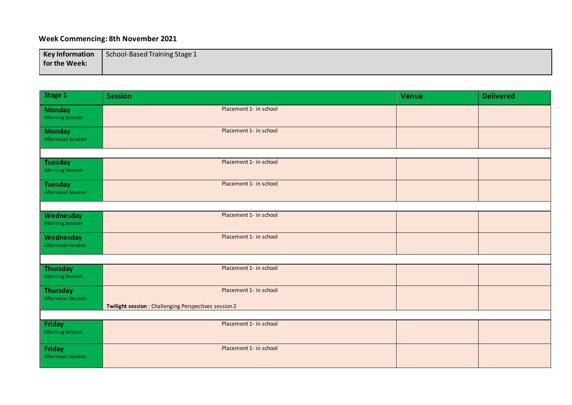#### **Week Commencing: 8th November 2021**

| <b>Key Information</b> | School-Based Training Stage 1 |
|------------------------|-------------------------------|
| for the Week:          |                               |
|                        |                               |

| Stage 1                                               | <b>Session</b>         | <b>Venue</b> | <b>Delivered</b> |
|-------------------------------------------------------|------------------------|--------------|------------------|
| <b>Monday</b><br><b>Morning Session</b>               | Placement 1- in school |              |                  |
| <b>Monday</b><br>Afternoon Session                    | Placement 1- in school |              |                  |
|                                                       |                        |              |                  |
| <b>Tuesday</b><br><b>Morning Session</b>              | Placement 1- in school |              |                  |
| <b>Tuesday</b><br><b>Afternoon Session</b>            | Placement 1- in school |              |                  |
|                                                       |                        |              |                  |
| Wednesday<br><b>Morning Session</b>                   | Placement 1- in school |              |                  |
| Wednesday<br><b>Afternoon Session</b>                 | Placement 1- in school |              |                  |
|                                                       |                        |              |                  |
| <b>Thursday</b><br><b>Morning Session</b>             | Placement 1- in school |              |                  |
| <b>Thursday</b><br><b>Afternoon Session</b>           | Placement 1- in school |              |                  |
| Twilight session : Challenging Perspectives session 2 |                        |              |                  |
| Friday                                                | Placement 1- in school |              |                  |
| <b>Morning Session</b>                                |                        |              |                  |
| Friday<br><b>Afternoon Session</b>                    | Placement 1- in school |              |                  |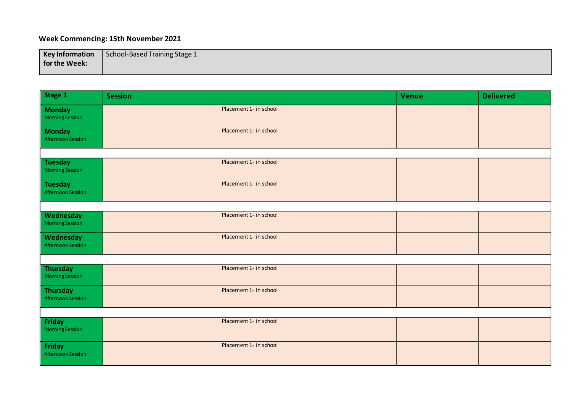#### **Week Commencing: 15th November 2021**

| <b>Key Information</b> | School-Based Training Stage 1 |
|------------------------|-------------------------------|
| for the Week:          |                               |
|                        |                               |

| Stage 1                                    | <b>Session</b>         | <b>Venue</b> | <b>Delivered</b> |
|--------------------------------------------|------------------------|--------------|------------------|
| <b>Monday</b><br><b>Morning Session</b>    | Placement 1- in school |              |                  |
| <b>Monday</b><br><b>Afternoon Session</b>  | Placement 1- in school |              |                  |
|                                            |                        |              |                  |
| <b>Tuesday</b><br><b>Morning Session</b>   | Placement 1- in school |              |                  |
| <b>Tuesday</b><br><b>Afternoon Session</b> | Placement 1- in school |              |                  |
|                                            |                        |              |                  |
| Wednesday<br><b>Morning Session</b>        | Placement 1- in school |              |                  |
| Wednesday<br><b>Afternoon Session</b>      | Placement 1- in school |              |                  |
|                                            |                        |              |                  |
| <b>Thursday</b><br><b>Morning Session</b>  | Placement 1- in school |              |                  |
| <b>Thursday</b><br>Afternoon Session       | Placement 1- in school |              |                  |
|                                            |                        |              |                  |
| Friday<br><b>Morning Session</b>           | Placement 1- in school |              |                  |
| Friday<br><b>Afternoon Session</b>         | Placement 1- in school |              |                  |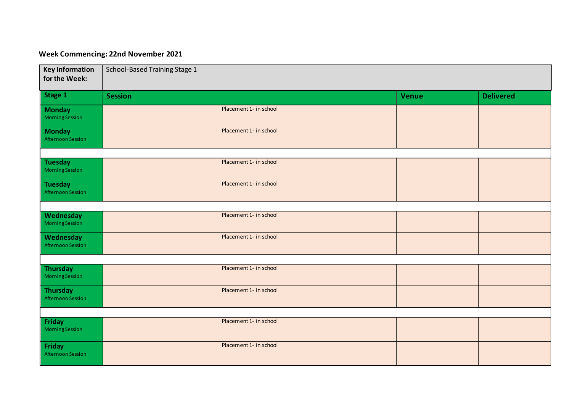#### **Week Commencing: 22nd November 2021**

| <b>Key Information</b><br>for the Week:     | School-Based Training Stage 1 |              |                  |
|---------------------------------------------|-------------------------------|--------------|------------------|
| Stage 1                                     | <b>Session</b>                | <b>Venue</b> | <b>Delivered</b> |
| <b>Monday</b><br><b>Morning Session</b>     | Placement 1- in school        |              |                  |
| <b>Monday</b><br>Afternoon Session          | Placement 1- in school        |              |                  |
|                                             | Placement 1- in school        |              |                  |
| <b>Tuesday</b><br><b>Morning Session</b>    |                               |              |                  |
| <b>Tuesday</b><br><b>Afternoon Session</b>  | Placement 1- in school        |              |                  |
|                                             |                               |              |                  |
| Wednesday<br><b>Morning Session</b>         | Placement 1- in school        |              |                  |
| Wednesday<br><b>Afternoon Session</b>       | Placement 1- in school        |              |                  |
|                                             |                               |              |                  |
| <b>Thursday</b><br><b>Morning Session</b>   | Placement 1- in school        |              |                  |
| <b>Thursday</b><br><b>Afternoon Session</b> | Placement 1- in school        |              |                  |
|                                             |                               |              |                  |
| <b>Friday</b><br><b>Morning Session</b>     | Placement 1- in school        |              |                  |
| <b>Friday</b><br><b>Afternoon Session</b>   | Placement 1- in school        |              |                  |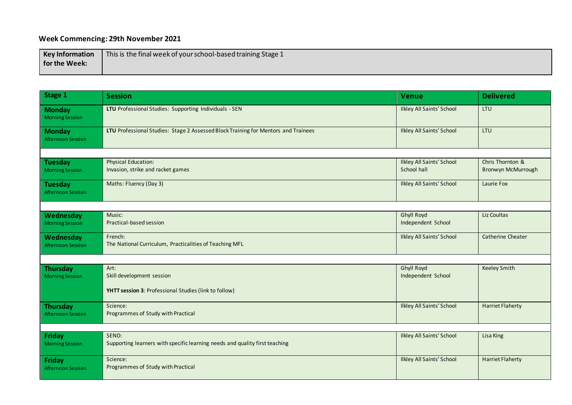#### **Week Commencing: 29th November 2021**

| <b>Key Information</b> | This is the final week of your school-based training Stage 1 |
|------------------------|--------------------------------------------------------------|
| <b>for the Week:</b>   |                                                              |
|                        |                                                              |

| Stage 1                                     | <b>Session</b>                                                                       | <b>Venue</b>                                    | <b>Delivered</b>                       |
|---------------------------------------------|--------------------------------------------------------------------------------------|-------------------------------------------------|----------------------------------------|
| <b>Monday</b><br><b>Morning Session</b>     | LTU Professional Studies: Supporting Individuals - SEN                               | <b>Ilkley All Saints' School</b>                | LTU                                    |
| <b>Monday</b><br><b>Afternoon Session</b>   | LTU Professional Studies: Stage 2 Assessed Block Training for Mentors and Trainees   | <b>Ilkley All Saints' School</b>                | LTU                                    |
|                                             |                                                                                      |                                                 |                                        |
| <b>Tuesday</b><br><b>Morning Session</b>    | <b>Physical Education:</b><br>Invasion, strike and racket games                      | <b>Ilkley All Saints' School</b><br>School hall | Chris Thornton &<br>Bronwyn McMurrough |
| <b>Tuesday</b><br><b>Afternoon Session</b>  | Maths: Fluency (Day 3)                                                               | <b>Ilkley All Saints' School</b>                | Laurie Fox                             |
|                                             |                                                                                      |                                                 |                                        |
| Wednesday<br><b>Morning Session</b>         | Music:<br>Practical-based session                                                    | <b>Ghyll Royd</b><br>Independent School         | Liz Coultas                            |
| Wednesday<br><b>Afternoon Session</b>       | French:<br>The National Curriculum, Practicalities of Teaching MFL                   | <b>Ilkley All Saints' School</b>                | <b>Catherine Cheater</b>               |
|                                             |                                                                                      |                                                 |                                        |
| <b>Thursday</b><br><b>Morning Session</b>   | Art:<br>Skill development session                                                    | <b>Ghyll Royd</b><br>Independent School         | <b>Keeley Smith</b>                    |
|                                             | YHTT session 3: Professional Studies (link to follow)                                |                                                 |                                        |
| <b>Thursday</b><br><b>Afternoon Session</b> | Science:<br>Programmes of Study with Practical                                       | <b>Ilkley All Saints' School</b>                | <b>Harriet Flaherty</b>                |
|                                             |                                                                                      |                                                 |                                        |
| <b>Friday</b><br><b>Morning Session</b>     | SEND:<br>Supporting learners with specific learning needs and quality first teaching | <b>Ilkley All Saints' School</b>                | Lisa King                              |
| <b>Friday</b><br><b>Afternoon Session</b>   | Science:<br>Programmes of Study with Practical                                       | <b>Ilkley All Saints' School</b>                | <b>Harriet Flaherty</b>                |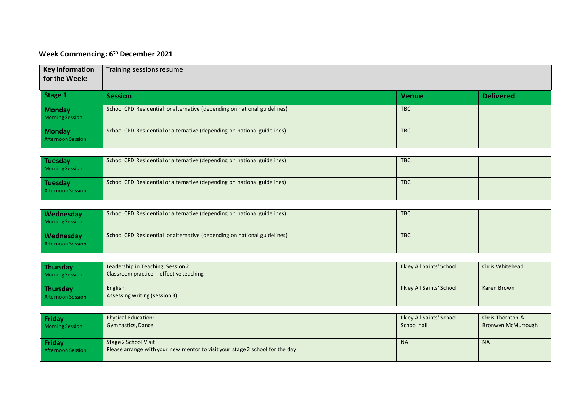#### **Week Commencing: 6 th December 2021**

| <b>Key Information</b><br>for the Week:     | Training sessions resume                                                                             |                                                 |                                        |  |
|---------------------------------------------|------------------------------------------------------------------------------------------------------|-------------------------------------------------|----------------------------------------|--|
| Stage 1                                     | <b>Session</b>                                                                                       | <b>Venue</b>                                    | <b>Delivered</b>                       |  |
| <b>Monday</b><br><b>Morning Session</b>     | School CPD Residential or alternative (depending on national guidelines)                             | <b>TBC</b>                                      |                                        |  |
| <b>Monday</b><br>Afternoon Session          | School CPD Residential or alternative (depending on national guidelines)                             | <b>TBC</b>                                      |                                        |  |
|                                             |                                                                                                      |                                                 |                                        |  |
| <b>Tuesday</b><br><b>Morning Session</b>    | School CPD Residential or alternative (depending on national guidelines)                             | <b>TBC</b>                                      |                                        |  |
| Tuesday<br><b>Afternoon Session</b>         | School CPD Residential or alternative (depending on national guidelines)                             | <b>TBC</b>                                      |                                        |  |
|                                             |                                                                                                      |                                                 |                                        |  |
| Wednesday<br><b>Morning Session</b>         | School CPD Residential or alternative (depending on national guidelines)                             | <b>TBC</b>                                      |                                        |  |
| Wednesday<br><b>Afternoon Session</b>       | School CPD Residential or alternative (depending on national guidelines)                             | <b>TBC</b>                                      |                                        |  |
|                                             |                                                                                                      |                                                 |                                        |  |
| <b>Thursday</b><br><b>Morning Session</b>   | Leadership in Teaching: Session 2<br>Classroom practice - effective teaching                         | <b>Ilkley All Saints' School</b>                | Chris Whitehead                        |  |
| <b>Thursday</b><br><b>Afternoon Session</b> | English:<br>Assessing writing (session 3)                                                            | <b>Ilkley All Saints' School</b>                | Karen Brown                            |  |
|                                             |                                                                                                      |                                                 |                                        |  |
| <b>Friday</b><br><b>Morning Session</b>     | Physical Education:<br>Gymnastics, Dance                                                             | <b>Ilkley All Saints' School</b><br>School hall | Chris Thornton &<br>Bronwyn McMurrough |  |
| Friday<br><b>Afternoon Session</b>          | Stage 2 School Visit<br>Please arrange with your new mentor to visit your stage 2 school for the day | <b>NA</b>                                       | <b>NA</b>                              |  |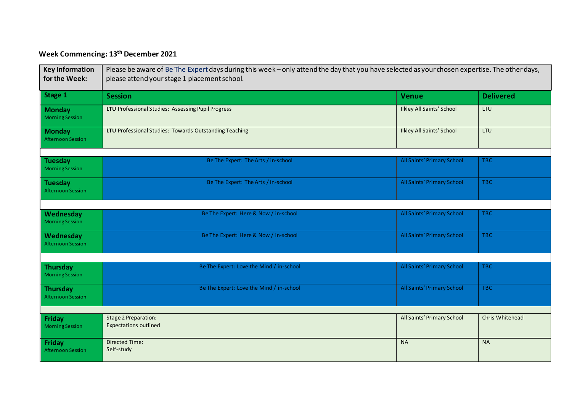## **Week Commencing: 13th December 2021**

| <b>Key Information</b><br>for the Week:     | Please be aware of Be The Expert days during this week – only attend the day that you have selected as your chosen expertise. The other days,<br>please attend your stage 1 placement school. |                                  |                  |  |
|---------------------------------------------|-----------------------------------------------------------------------------------------------------------------------------------------------------------------------------------------------|----------------------------------|------------------|--|
| Stage 1                                     | <b>Session</b>                                                                                                                                                                                | <b>Venue</b>                     | <b>Delivered</b> |  |
| <b>Monday</b><br><b>Morning Session</b>     | LTU Professional Studies: Assessing Pupil Progress                                                                                                                                            | <b>Ilkley All Saints' School</b> | <b>LTU</b>       |  |
| <b>Monday</b><br><b>Afternoon Session</b>   | LTU Professional Studies: Towards Outstanding Teaching                                                                                                                                        | <b>Ilkley All Saints' School</b> | LTU              |  |
|                                             |                                                                                                                                                                                               |                                  |                  |  |
| <b>Tuesday</b><br><b>Morning Session</b>    | Be The Expert: The Arts / in-school                                                                                                                                                           | All Saints' Primary School       | TBC              |  |
| <b>Tuesday</b><br><b>Afternoon Session</b>  | Be The Expert: The Arts / in-school                                                                                                                                                           | All Saints' Primary School       | <b>TBC</b>       |  |
|                                             |                                                                                                                                                                                               |                                  |                  |  |
| Wednesday<br><b>Morning Session</b>         | Be The Expert: Here & Now / in-school                                                                                                                                                         | All Saints' Primary School       | TBC              |  |
| Wednesday<br><b>Afternoon Session</b>       | Be The Expert: Here & Now / in-school                                                                                                                                                         | All Saints' Primary School       | TBC              |  |
|                                             |                                                                                                                                                                                               |                                  |                  |  |
| <b>Thursday</b><br><b>Morning Session</b>   | Be The Expert: Love the Mind / in-school                                                                                                                                                      | All Saints' Primary School       | TBC              |  |
| <b>Thursday</b><br><b>Afternoon Session</b> | Be The Expert: Love the Mind / in-school                                                                                                                                                      | All Saints' Primary School       | TBC              |  |
|                                             |                                                                                                                                                                                               |                                  |                  |  |
| <b>Friday</b><br><b>Morning Session</b>     | <b>Stage 2 Preparation:</b><br><b>Expectations outlined</b>                                                                                                                                   | All Saints' Primary School       | Chris Whitehead  |  |
| <b>Friday</b><br><b>Afternoon Session</b>   | <b>Directed Time:</b><br>Self-study                                                                                                                                                           | <b>NA</b>                        | <b>NA</b>        |  |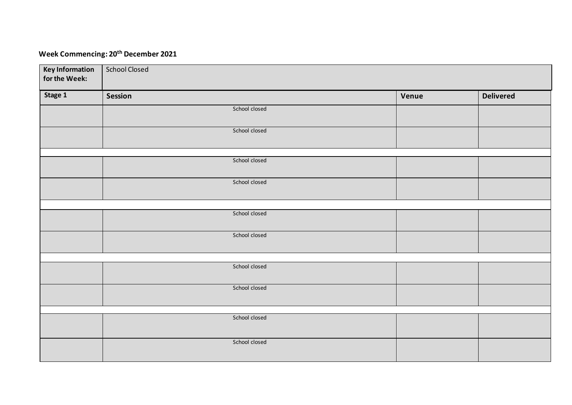## **Week Commencing: 20th December 2021**

| <b>Key Information</b><br>for the Week: | <b>School Closed</b> |       |                  |
|-----------------------------------------|----------------------|-------|------------------|
| Stage 1                                 | <b>Session</b>       | Venue | <b>Delivered</b> |
|                                         | School closed        |       |                  |
|                                         | School closed        |       |                  |
|                                         | School closed        |       |                  |
|                                         | School closed        |       |                  |
|                                         |                      |       |                  |
|                                         | School closed        |       |                  |
|                                         | School closed        |       |                  |
|                                         |                      |       |                  |
|                                         | School closed        |       |                  |
|                                         | School closed        |       |                  |
|                                         |                      |       |                  |
|                                         | School closed        |       |                  |
|                                         | School closed        |       |                  |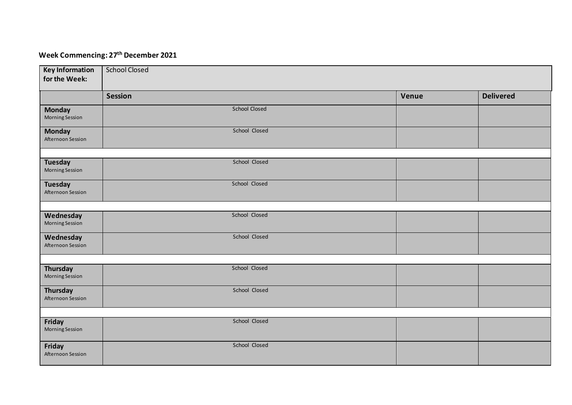#### **Week Commencing: 27 th December 2021**

| <b>Key Information</b><br>for the Week:  | <b>School Closed</b> |       |                  |
|------------------------------------------|----------------------|-------|------------------|
|                                          | <b>Session</b>       | Venue | <b>Delivered</b> |
| <b>Monday</b><br><b>Morning Session</b>  | <b>School Closed</b> |       |                  |
| <b>Monday</b><br>Afternoon Session       | School Closed        |       |                  |
|                                          |                      |       |                  |
| <b>Tuesday</b><br><b>Morning Session</b> | School Closed        |       |                  |
| <b>Tuesday</b><br>Afternoon Session      | School Closed        |       |                  |
|                                          |                      |       |                  |
| Wednesday<br><b>Morning Session</b>      | School Closed        |       |                  |
| Wednesday<br>Afternoon Session           | School Closed        |       |                  |
|                                          |                      |       |                  |
| Thursday<br>Morning Session              | School Closed        |       |                  |
| Thursday<br>Afternoon Session            | School Closed        |       |                  |
|                                          |                      |       |                  |
| Friday<br><b>Morning Session</b>         | School Closed        |       |                  |
| Friday<br>Afternoon Session              | School Closed        |       |                  |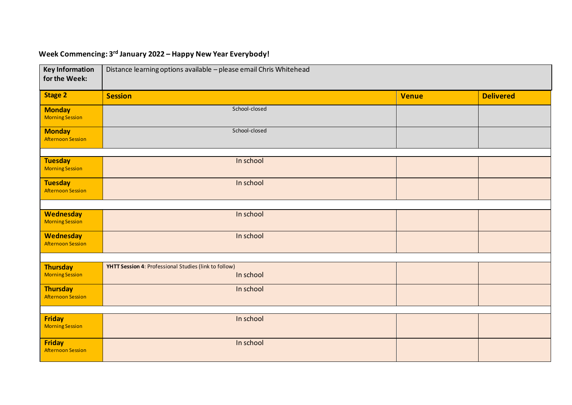## **Week Commencing: 3rd January 2022 – Happy New Year Everybody!**

| <b>Key Information</b><br>for the Week:      | Distance learning options available - please email Chris Whitehead |              |                  |  |
|----------------------------------------------|--------------------------------------------------------------------|--------------|------------------|--|
| <b>Stage 2</b>                               | <b>Session</b>                                                     | <b>Venue</b> | <b>Delivered</b> |  |
| <b>Monday</b><br><b>Morning Session</b>      | School-closed                                                      |              |                  |  |
| <b>Monday</b><br><b>Afternoon Session</b>    | School-closed                                                      |              |                  |  |
| <b>Tuesday</b>                               | In school                                                          |              |                  |  |
| <b>Morning Session</b>                       |                                                                    |              |                  |  |
| <b>Tuesday</b><br><b>Afternoon Session</b>   | In school                                                          |              |                  |  |
|                                              |                                                                    |              |                  |  |
| <b>Wednesday</b><br><b>Morning Session</b>   | In school                                                          |              |                  |  |
| <b>Wednesday</b><br><b>Afternoon Session</b> | In school                                                          |              |                  |  |
|                                              |                                                                    |              |                  |  |
| <b>Thursday</b><br><b>Morning Session</b>    | YHTT Session 4: Professional Studies (link to follow)<br>In school |              |                  |  |
| <b>Thursday</b><br><b>Afternoon Session</b>  | In school                                                          |              |                  |  |
|                                              |                                                                    |              |                  |  |
| <b>Friday</b><br><b>Morning Session</b>      | In school                                                          |              |                  |  |
| <b>Friday</b><br><b>Afternoon Session</b>    | In school                                                          |              |                  |  |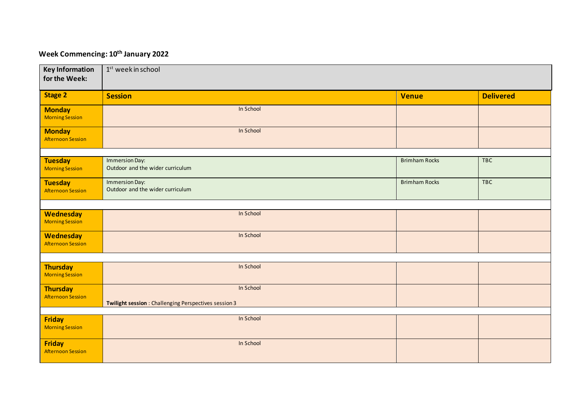#### **Week Commencing: 10th January 2022**

| <b>Key Information</b><br>for the Week:      | 1 <sup>st</sup> week in school                                     |                      |                  |
|----------------------------------------------|--------------------------------------------------------------------|----------------------|------------------|
| <b>Stage 2</b>                               | <b>Session</b>                                                     | <b>Venue</b>         | <b>Delivered</b> |
| <b>Monday</b><br><b>Morning Session</b>      | In School                                                          |                      |                  |
| <b>Monday</b><br><b>Afternoon Session</b>    | In School                                                          |                      |                  |
|                                              |                                                                    |                      |                  |
| <b>Tuesday</b><br><b>Morning Session</b>     | Immersion Day:<br>Outdoor and the wider curriculum                 | <b>Brimham Rocks</b> | <b>TBC</b>       |
| <b>Tuesday</b><br><b>Afternoon Session</b>   | Immersion Day:<br>Outdoor and the wider curriculum                 | <b>Brimham Rocks</b> | TBC              |
|                                              |                                                                    |                      |                  |
| <b>Wednesday</b><br><b>Morning Session</b>   | In School                                                          |                      |                  |
| <b>Wednesday</b><br><b>Afternoon Session</b> | In School                                                          |                      |                  |
|                                              |                                                                    |                      |                  |
| <b>Thursday</b><br><b>Morning Session</b>    | In School                                                          |                      |                  |
| <b>Thursday</b><br><b>Afternoon Session</b>  | In School<br>Twilight session : Challenging Perspectives session 3 |                      |                  |
|                                              |                                                                    |                      |                  |
| <b>Friday</b><br><b>Morning Session</b>      | In School                                                          |                      |                  |
| <b>Friday</b><br><b>Afternoon Session</b>    | In School                                                          |                      |                  |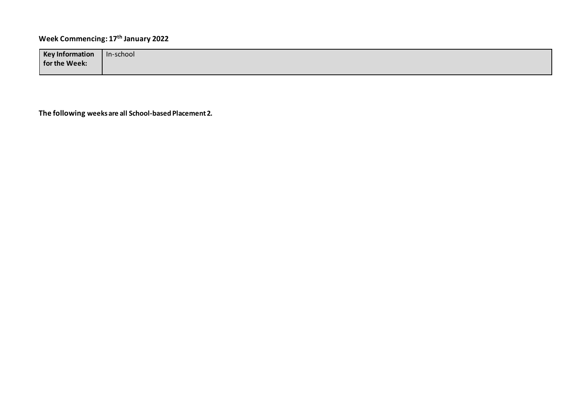## **Week Commencing: 17th January 2022**

| <b>Key Information</b> | In-school |
|------------------------|-----------|
| for the Week:          |           |

**The following weeks are all School-based Placement 2.**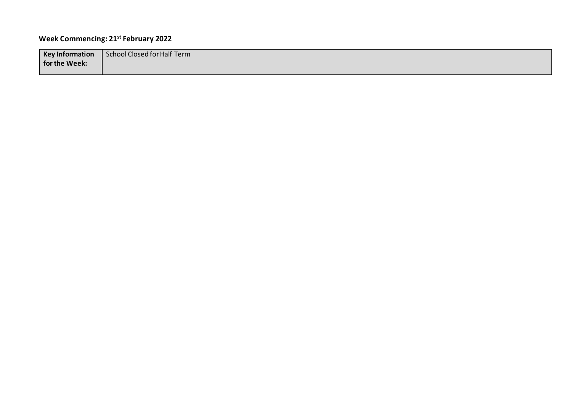## **Week Commencing: 21st February 2022**

| <b>Key Information</b> | School Closed for Half Term |
|------------------------|-----------------------------|
| for the Week:          |                             |
|                        |                             |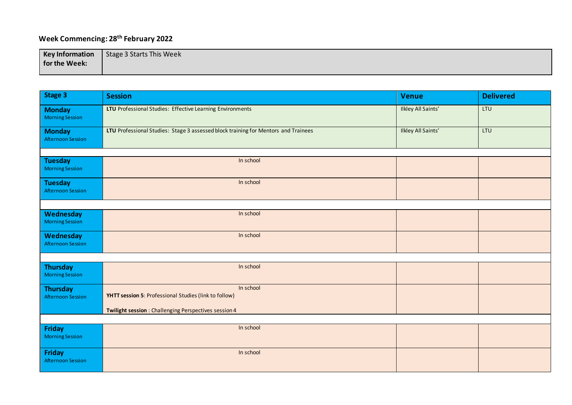## **Week Commencing: 28th February 2022**

| <b>Key Information</b> | Stage 3 Starts This Week |
|------------------------|--------------------------|
| for the Week:          |                          |
|                        |                          |

| Stage 3                                     | <b>Session</b>                                                                     | <b>Venue</b>       | <b>Delivered</b> |
|---------------------------------------------|------------------------------------------------------------------------------------|--------------------|------------------|
| <b>Monday</b><br><b>Morning Session</b>     | LTU Professional Studies: Effective Learning Environments                          | Ilkley All Saints' | LTU              |
| <b>Monday</b><br><b>Afternoon Session</b>   | LTU Professional Studies: Stage 3 assessed block training for Mentors and Trainees | Ilkley All Saints' | LTU              |
|                                             |                                                                                    |                    |                  |
| <b>Tuesday</b><br><b>Morning Session</b>    | In school                                                                          |                    |                  |
| <b>Tuesday</b><br><b>Afternoon Session</b>  | In school                                                                          |                    |                  |
|                                             |                                                                                    |                    |                  |
| Wednesday<br><b>Morning Session</b>         | In school                                                                          |                    |                  |
| Wednesday<br><b>Afternoon Session</b>       | In school                                                                          |                    |                  |
|                                             |                                                                                    |                    |                  |
| <b>Thursday</b><br><b>Morning Session</b>   | In school                                                                          |                    |                  |
| <b>Thursday</b><br><b>Afternoon Session</b> | In school<br>YHTT session 5: Professional Studies (link to follow)                 |                    |                  |
|                                             | Twilight session : Challenging Perspectives session 4                              |                    |                  |
|                                             |                                                                                    |                    |                  |
| <b>Friday</b><br><b>Morning Session</b>     | In school                                                                          |                    |                  |
| <b>Friday</b><br><b>Afternoon Session</b>   | In school                                                                          |                    |                  |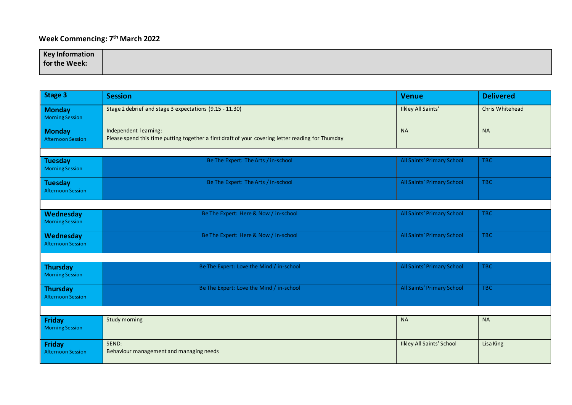#### **Week Commencing: 7 th March 2022**

| <b>Key Information</b> |  |
|------------------------|--|
| for the Week:          |  |
|                        |  |

| <b>Stage 3</b>                              | <b>Session</b>                                                                                                              | Venue                             | <b>Delivered</b> |
|---------------------------------------------|-----------------------------------------------------------------------------------------------------------------------------|-----------------------------------|------------------|
| <b>Monday</b><br><b>Morning Session</b>     | Stage 2 debrief and stage 3 expectations (9.15 - 11.30)                                                                     | Ilkley All Saints'                | Chris Whitehead  |
| <b>Monday</b><br><b>Afternoon Session</b>   | Independent learning:<br>Please spend this time putting together a first draft of your covering letter reading for Thursday | <b>NA</b>                         | <b>NA</b>        |
|                                             |                                                                                                                             |                                   |                  |
| <b>Tuesday</b><br><b>Morning Session</b>    | Be The Expert: The Arts / in-school                                                                                         | All Saints' Primary School        | <b>TBC</b>       |
| <b>Tuesday</b><br><b>Afternoon Session</b>  | Be The Expert: The Arts / in-school                                                                                         | <b>All Saints' Primary School</b> | <b>TBC</b>       |
|                                             |                                                                                                                             |                                   |                  |
| Wednesday<br><b>Morning Session</b>         | Be The Expert: Here & Now / in-school                                                                                       | All Saints' Primary School        | <b>TBC</b>       |
| Wednesday<br><b>Afternoon Session</b>       | Be The Expert: Here & Now / in-school                                                                                       | All Saints' Primary School        | <b>TBC</b>       |
|                                             |                                                                                                                             |                                   |                  |
| <b>Thursday</b><br><b>Morning Session</b>   | Be The Expert: Love the Mind / in-school                                                                                    | All Saints' Primary School        | <b>TBC</b>       |
| <b>Thursday</b><br><b>Afternoon Session</b> | Be The Expert: Love the Mind / in-school                                                                                    | All Saints' Primary School        | <b>TBC</b>       |
|                                             |                                                                                                                             |                                   |                  |
| Friday<br><b>Morning Session</b>            | Study morning                                                                                                               | <b>NA</b>                         | <b>NA</b>        |
| Friday<br><b>Afternoon Session</b>          | SEND:<br>Behaviour management and managing needs                                                                            | <b>Ilkley All Saints' School</b>  | Lisa King        |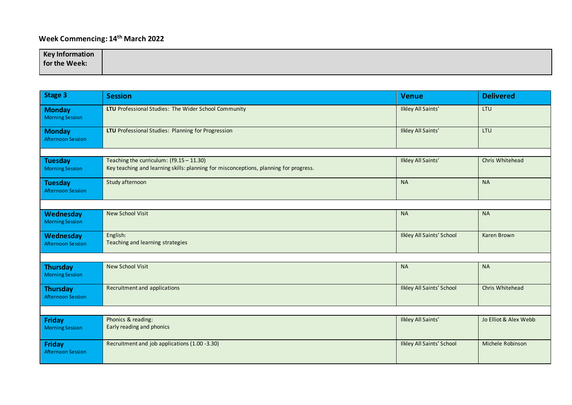## **Week Commencing: 14th March 2022**

| <b>Key Information</b> |  |
|------------------------|--|
| for the Week:          |  |
|                        |  |

| Stage 3                                     | <b>Session</b>                                                                                                                    | <b>Venue</b>                     | <b>Delivered</b>      |
|---------------------------------------------|-----------------------------------------------------------------------------------------------------------------------------------|----------------------------------|-----------------------|
| <b>Monday</b><br><b>Morning Session</b>     | LTU Professional Studies: The Wider School Community                                                                              | <b>Ilkley All Saints'</b>        | LTU                   |
| <b>Monday</b><br><b>Afternoon Session</b>   | LTU Professional Studies: Planning for Progression                                                                                | <b>Ilkley All Saints'</b>        | LTU                   |
|                                             |                                                                                                                                   |                                  |                       |
| <b>Tuesday</b><br><b>Morning Session</b>    | Teaching the curriculum: (f9.15 - 11.30)<br>Key teaching and learning skills: planning for misconceptions, planning for progress. | <b>Ilkley All Saints'</b>        | Chris Whitehead       |
| <b>Tuesday</b><br><b>Afternoon Session</b>  | Study afternoon                                                                                                                   | <b>NA</b>                        | <b>NA</b>             |
|                                             |                                                                                                                                   |                                  |                       |
| Wednesday<br><b>Morning Session</b>         | <b>New School Visit</b>                                                                                                           | <b>NA</b>                        | <b>NA</b>             |
| Wednesday<br><b>Afternoon Session</b>       | English:<br>Teaching and learning strategies                                                                                      | <b>Ilkley All Saints' School</b> | Karen Brown           |
|                                             |                                                                                                                                   |                                  |                       |
| <b>Thursday</b><br><b>Morning Session</b>   | New School Visit                                                                                                                  | <b>NA</b>                        | <b>NA</b>             |
| <b>Thursday</b><br><b>Afternoon Session</b> | Recruitment and applications                                                                                                      | <b>Ilkley All Saints' School</b> | Chris Whitehead       |
|                                             |                                                                                                                                   |                                  |                       |
| Friday<br><b>Morning Session</b>            | Phonics & reading:<br>Early reading and phonics                                                                                   | <b>Ilkley All Saints'</b>        | Jo Elliot & Alex Webb |
| Friday<br><b>Afternoon Session</b>          | Recruitment and job applications (1.00 -3.30)                                                                                     | <b>Ilkley All Saints' School</b> | Michele Robinson      |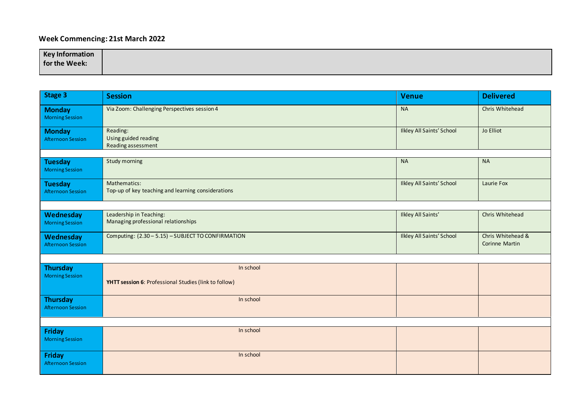#### **Week Commencing: 21st March 2022**

| <b>Key Information</b> |  |
|------------------------|--|
| for the Week:          |  |
|                        |  |

| <b>Stage 3</b>                              | <b>Session</b>                                                     | <b>Venue</b>                     | <b>Delivered</b>                    |
|---------------------------------------------|--------------------------------------------------------------------|----------------------------------|-------------------------------------|
| <b>Monday</b><br><b>Morning Session</b>     | Via Zoom: Challenging Perspectives session 4                       | <b>NA</b>                        | Chris Whitehead                     |
| <b>Monday</b><br><b>Afternoon Session</b>   | Reading:<br>Using guided reading<br>Reading assessment             | <b>Ilkley All Saints' School</b> | Jo Elliot                           |
|                                             |                                                                    |                                  |                                     |
| <b>Tuesday</b><br><b>Morning Session</b>    | Study morning                                                      | <b>NA</b>                        | <b>NA</b>                           |
| <b>Tuesday</b><br><b>Afternoon Session</b>  | Mathematics:<br>Top-up of key teaching and learning considerations | <b>Ilkley All Saints' School</b> | Laurie Fox                          |
|                                             |                                                                    |                                  |                                     |
| Wednesday<br><b>Morning Session</b>         | Leadership in Teaching:<br>Managing professional relationships     | Ilkley All Saints'               | Chris Whitehead                     |
| Wednesday<br><b>Afternoon Session</b>       | Computing: (2.30 - 5.15) - SUBJECT TO CONFIRMATION                 | <b>Ilkley All Saints' School</b> | Chris Whitehead &<br>Corinne Martin |
|                                             |                                                                    |                                  |                                     |
| <b>Thursday</b><br><b>Morning Session</b>   | In school<br>YHTT session 6: Professional Studies (link to follow) |                                  |                                     |
| <b>Thursday</b><br><b>Afternoon Session</b> | In school                                                          |                                  |                                     |
|                                             |                                                                    |                                  |                                     |
| Friday<br><b>Morning Session</b>            | In school                                                          |                                  |                                     |
| Friday<br><b>Afternoon Session</b>          | In school                                                          |                                  |                                     |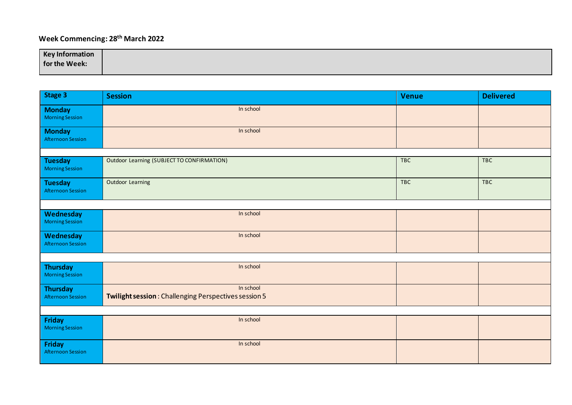## **Week Commencing: 28th March 2022**

| <b>Key Information</b> |  |
|------------------------|--|
| for the Week:          |  |

| Stage 3                                     | <b>Session</b>                                                    | <b>Venue</b> | <b>Delivered</b> |
|---------------------------------------------|-------------------------------------------------------------------|--------------|------------------|
| <b>Monday</b><br><b>Morning Session</b>     | In school                                                         |              |                  |
| <b>Monday</b><br><b>Afternoon Session</b>   | In school                                                         |              |                  |
|                                             |                                                                   |              |                  |
| <b>Tuesday</b><br><b>Morning Session</b>    | Outdoor Learning (SUBJECT TO CONFIRMATION)                        | TBC          | <b>TBC</b>       |
| <b>Tuesday</b><br><b>Afternoon Session</b>  | Outdoor Learning                                                  | TBC          | <b>TBC</b>       |
|                                             |                                                                   |              |                  |
| Wednesday<br><b>Morning Session</b>         | In school                                                         |              |                  |
| Wednesday<br><b>Afternoon Session</b>       | In school                                                         |              |                  |
|                                             |                                                                   |              |                  |
| <b>Thursday</b><br><b>Morning Session</b>   | In school                                                         |              |                  |
| <b>Thursday</b><br><b>Afternoon Session</b> | In school<br>Twilight session: Challenging Perspectives session 5 |              |                  |
|                                             |                                                                   |              |                  |
| Friday<br><b>Morning Session</b>            | In school                                                         |              |                  |
| Friday<br><b>Afternoon Session</b>          | In school                                                         |              |                  |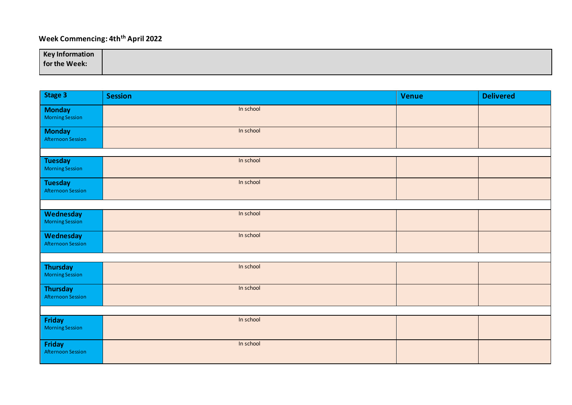## **Week Commencing: 4thth April 2022**

| <b>Key Information</b> |  |
|------------------------|--|
| for the Week:          |  |

| Stage 3                                   | <b>Session</b> | Venue | <b>Delivered</b> |
|-------------------------------------------|----------------|-------|------------------|
| <b>Monday</b><br><b>Morning Session</b>   | In school      |       |                  |
| <b>Monday</b><br><b>Afternoon Session</b> | In school      |       |                  |
|                                           |                |       |                  |
| Tuesday<br><b>Morning Session</b>         | In school      |       |                  |
| Tuesday<br><b>Afternoon Session</b>       | In school      |       |                  |
|                                           |                |       |                  |
| Wednesday<br><b>Morning Session</b>       | In school      |       |                  |
| Wednesday<br><b>Afternoon Session</b>     | In school      |       |                  |
|                                           |                |       |                  |
| <b>Thursday</b><br><b>Morning Session</b> | In school      |       |                  |
| <b>Thursday</b><br>Afternoon Session      | In school      |       |                  |
|                                           |                |       |                  |
| Friday<br><b>Morning Session</b>          | In school      |       |                  |
| Friday<br>Afternoon Session               | In school      |       |                  |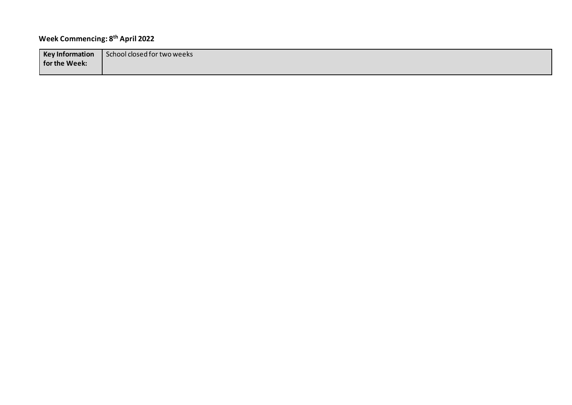## **Week Commencing: 8th April 2022**

| <b>Key Information</b> | School closed for two weeks |
|------------------------|-----------------------------|
| for the Week:          |                             |
|                        |                             |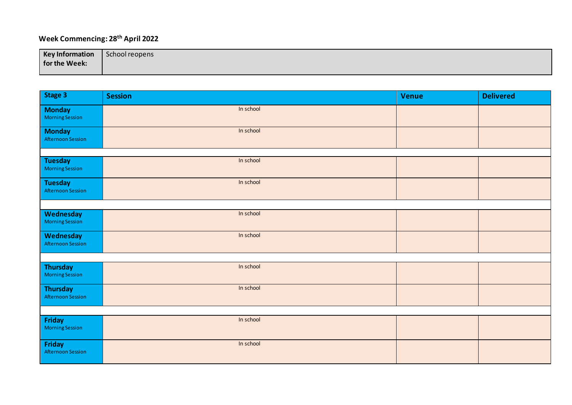## **Week Commencing: 28th April 2022**

| <b>Key Information</b> | School reopens |
|------------------------|----------------|
| for the Week:          |                |
|                        |                |

| Stage 3                                     | <b>Session</b> | Venue | <b>Delivered</b> |
|---------------------------------------------|----------------|-------|------------------|
| <b>Monday</b><br><b>Morning Session</b>     | In school      |       |                  |
| <b>Monday</b><br><b>Afternoon Session</b>   | In school      |       |                  |
|                                             |                |       |                  |
| <b>Tuesday</b><br><b>Morning Session</b>    | In school      |       |                  |
| <b>Tuesday</b><br><b>Afternoon Session</b>  | In school      |       |                  |
|                                             |                |       |                  |
| Wednesday<br><b>Morning Session</b>         | In school      |       |                  |
| Wednesday<br><b>Afternoon Session</b>       | In school      |       |                  |
|                                             |                |       |                  |
| <b>Thursday</b><br><b>Morning Session</b>   | In school      |       |                  |
| <b>Thursday</b><br><b>Afternoon Session</b> | In school      |       |                  |
|                                             |                |       |                  |
| Friday<br><b>Morning Session</b>            | In school      |       |                  |
| Friday<br><b>Afternoon Session</b>          | In school      |       |                  |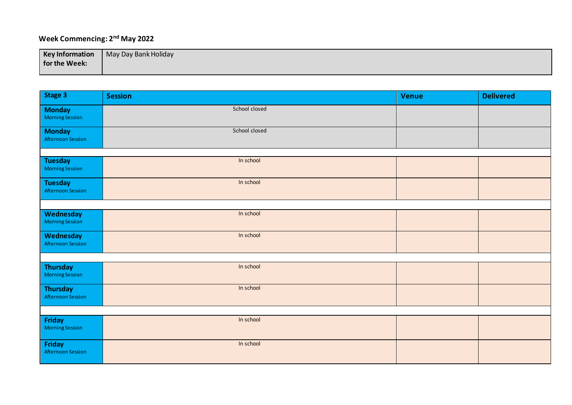## **Week Commencing: 2nd May 2022**

| <b>Key Information</b> | May Day Bank Holiday |
|------------------------|----------------------|
| for the Week:          |                      |
|                        |                      |

| Stage 3                                    | <b>Session</b> | <b>Venue</b> | <b>Delivered</b> |
|--------------------------------------------|----------------|--------------|------------------|
| <b>Monday</b><br><b>Morning Session</b>    | School closed  |              |                  |
| <b>Monday</b><br><b>Afternoon Session</b>  | School closed  |              |                  |
|                                            |                |              |                  |
| <b>Tuesday</b><br><b>Morning Session</b>   | In school      |              |                  |
| <b>Tuesday</b><br><b>Afternoon Session</b> | In school      |              |                  |
|                                            |                |              |                  |
| Wednesday<br><b>Morning Session</b>        | In school      |              |                  |
| Wednesday<br><b>Afternoon Session</b>      | In school      |              |                  |
|                                            |                |              |                  |
| <b>Thursday</b><br><b>Morning Session</b>  | In school      |              |                  |
| <b>Thursday</b><br>Afternoon Session       | In school      |              |                  |
|                                            |                |              |                  |
| Friday<br><b>Morning Session</b>           | In school      |              |                  |
| <b>Friday</b><br><b>Afternoon Session</b>  | In school      |              |                  |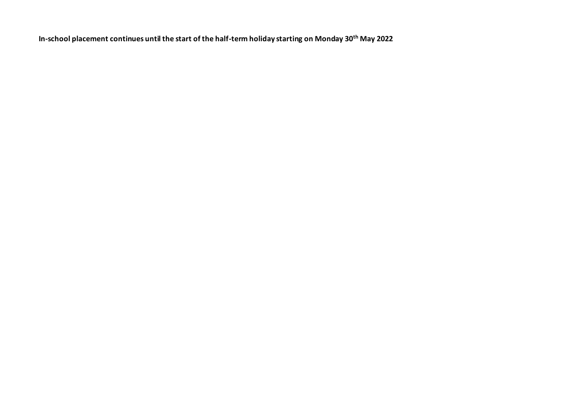**In-school placement continues until the start of the half-term holiday starting on Monday 30th May 2022**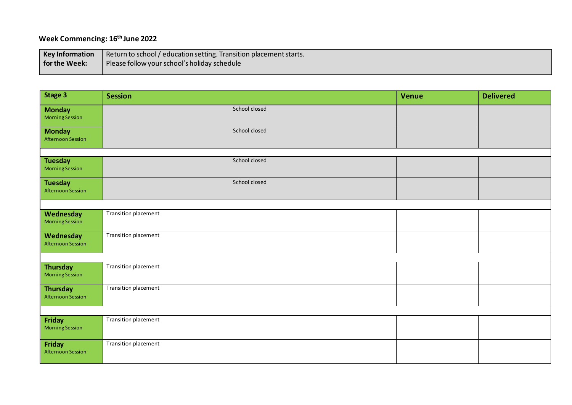## **Week Commencing: 16th June 2022**

| <b>Key Information</b> | Return to school / education setting. Transition placement starts. |
|------------------------|--------------------------------------------------------------------|
| for the Week:          | Please follow your school's holiday schedule                       |
|                        |                                                                    |

| Stage 3                                   | <b>Session</b>       | <b>Venue</b> | <b>Delivered</b> |
|-------------------------------------------|----------------------|--------------|------------------|
| <b>Monday</b><br><b>Morning Session</b>   | School closed        |              |                  |
| <b>Monday</b><br>Afternoon Session        | School closed        |              |                  |
|                                           |                      |              |                  |
| <b>Tuesday</b><br><b>Morning Session</b>  | School closed        |              |                  |
| <b>Tuesday</b><br>Afternoon Session       | School closed        |              |                  |
|                                           |                      |              |                  |
| Wednesday<br><b>Morning Session</b>       | Transition placement |              |                  |
| Wednesday<br>Afternoon Session            | Transition placement |              |                  |
|                                           |                      |              |                  |
| <b>Thursday</b><br><b>Morning Session</b> | Transition placement |              |                  |
| <b>Thursday</b><br>Afternoon Session      | Transition placement |              |                  |
|                                           |                      |              |                  |
| Friday<br><b>Morning Session</b>          | Transition placement |              |                  |
| Friday<br>Afternoon Session               | Transition placement |              |                  |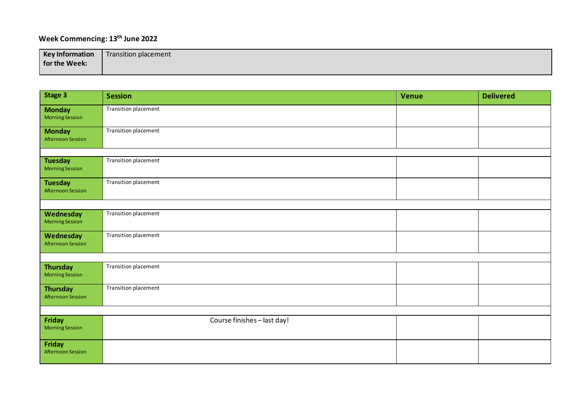#### **Week Commencing: 13 th June 2022**

| <b>Key Information</b> | Transition placement |
|------------------------|----------------------|
| for the Week:          |                      |
|                        |                      |

| <b>Stage 3</b>                             | <b>Session</b>              | Venue | <b>Delivered</b> |  |
|--------------------------------------------|-----------------------------|-------|------------------|--|
| <b>Monday</b><br><b>Morning Session</b>    | Transition placement        |       |                  |  |
| <b>Monday</b><br>Afternoon Session         | <b>Transition placement</b> |       |                  |  |
|                                            |                             |       |                  |  |
| <b>Tuesday</b><br><b>Morning Session</b>   | Transition placement        |       |                  |  |
| <b>Tuesday</b><br><b>Afternoon Session</b> | Transition placement        |       |                  |  |
|                                            |                             |       |                  |  |
| Wednesday<br><b>Morning Session</b>        | Transition placement        |       |                  |  |
| Wednesday<br>Afternoon Session             | Transition placement        |       |                  |  |
|                                            |                             |       |                  |  |
| <b>Thursday</b><br><b>Morning Session</b>  | <b>Transition placement</b> |       |                  |  |
| <b>Thursday</b><br>Afternoon Session       | <b>Transition placement</b> |       |                  |  |
|                                            |                             |       |                  |  |
| Friday<br><b>Morning Session</b>           | Course finishes - last day! |       |                  |  |
| Friday<br>Afternoon Session                |                             |       |                  |  |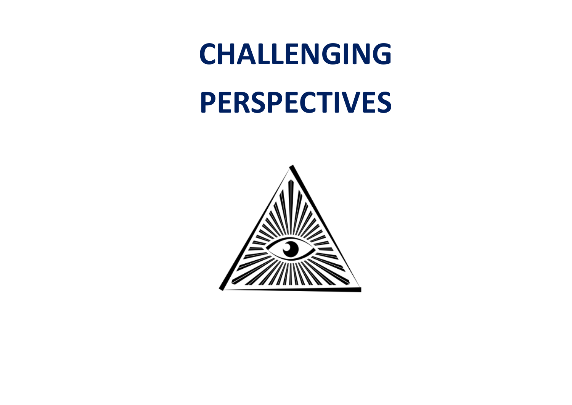## **CHALLENGING**

# **PERSPECTIVES**

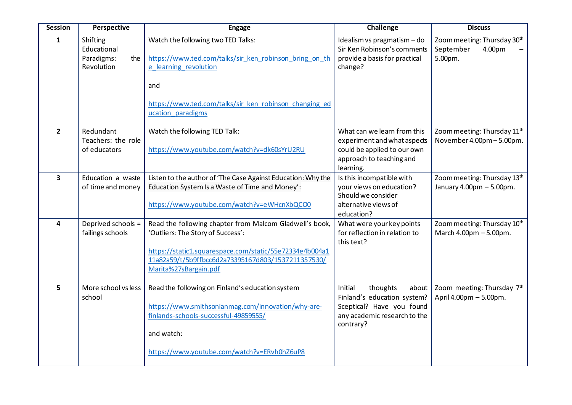| <b>Session</b>          | Perspective                                                | <b>Engage</b>                                                                                                                                                                                                                          | Challenge                                                                                                                             | <b>Discuss</b>                                                       |
|-------------------------|------------------------------------------------------------|----------------------------------------------------------------------------------------------------------------------------------------------------------------------------------------------------------------------------------------|---------------------------------------------------------------------------------------------------------------------------------------|----------------------------------------------------------------------|
| $\mathbf{1}$            | Shifting<br>Educational<br>Paradigms:<br>the<br>Revolution | Watch the following two TED Talks:<br>https://www.ted.com/talks/sir_ken_robinson_bring_on_th<br>e learning revolution<br>and<br>https://www.ted.com/talks/sir_ken_robinson_changing_ed<br>ucation_paradigms                            | Idealism vs pragmatism - do<br>Sir Ken Robinson's comments<br>provide a basis for practical<br>change?                                | Zoom meeting: Thursday 30th<br>September<br>4.00pm<br>5.00pm.        |
| $\overline{2}$          | Redundant<br>Teachers: the role<br>of educators            | Watch the following TED Talk:<br>https://www.youtube.com/watch?v=dk60sYrU2RU                                                                                                                                                           | What can we learn from this<br>experiment and what aspects<br>could be applied to our own<br>approach to teaching and<br>learning.    | Zoom meeting: Thursday 11 <sup>th</sup><br>November 4.00pm - 5.00pm. |
| $\overline{\mathbf{3}}$ | Education a waste<br>of time and money                     | Listen to the author of 'The Case Against Education: Why the<br>Education System Is a Waste of Time and Money':<br>https://www.youtube.com/watch?v=eWHcnXbQCO0                                                                         | Is this incompatible with<br>your views on education?<br>Should we consider<br>alternative views of<br>education?                     | Zoom meeting: Thursday 13th<br>January 4.00pm - 5.00pm.              |
| 4                       | Deprived schools =<br>failings schools                     | Read the following chapter from Malcom Gladwell's book,<br>'Outliers: The Story of Success':<br>https://static1.squarespace.com/static/55e72334e4b004a1<br>11a82a59/t/5b9ffbcc6d2a73395167d803/1537211357530/<br>Marita%27sBargain.pdf | What were your key points<br>for reflection in relation to<br>this text?                                                              | Zoom meeting: Thursday 10th<br>March 4.00pm - 5.00pm.                |
| 5                       | More school vs less<br>school                              | Read the following on Finland's education system<br>https://www.smithsonianmag.com/innovation/why-are-<br>finlands-schools-successful-49859555/<br>and watch:<br>https://www.youtube.com/watch?v=ERvh0hZ6uP8                           | Initial<br>thoughts<br>about<br>Finland's education system?<br>Sceptical? Have you found<br>any academic research to the<br>contrary? | Zoom meeting: Thursday 7th<br>April 4.00pm - 5.00pm.                 |